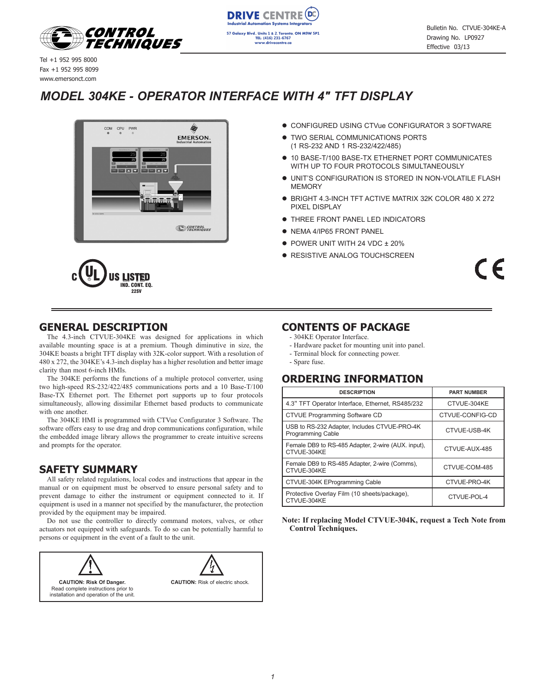



Tel +1 952 995 8000 Fax +1 952 995 8099 www.emersonct.com

# *MODEL 304KE - OPERATOR INTERFACE WITH 4" TFT DISPLAY*



#### $\rm c(\rm \& L)$ us listed IND. CONT. EQ. **22SV**

- **CONFIGURED USING CTVue CONFIGURATOR 3 SOFTWARE**
- **TWO SERIAL COMMUNICATIONS PORTS** (1 RS-232 AND 1 RS-232/422/485)
- $\bullet$  10 BASE-T/100 BASE-TX ETHERNET PORT COMMUNICATES WITH UP TO FOUR PROTOCOLS SIMULTANEOUSLY
- **.** UNIT'S CONFIGURATION IS STORED IN NON-VOLATILE FLASH MEMORY
- BRIGHT 4.3-INCH TFT ACTIVE MATRIX 32K COLOR 480 X 272 PIXEL DISPLAY
- **THREE FRONT PANEL LED INDICATORS**
- NEMA 4/IP65 FRONT PANEL
- $\bullet$  POWER UNIT WITH 24 VDC  $\pm$  20%
- **RESISTIVE ANALOG TOUCHSCREEN**

 $\epsilon$ 

### **GENERAL DESCRIPTION**

The 4.3-inch CTVUE-304KE was designed for applications in which available mounting space is at a premium. Though diminutive in size, the 304KE boasts a bright TFT display with 32K-color support. With a resolution of 480 x 272, the 304KE's 4.3-inch display has a higher resolution and better image clarity than most 6-inch HMIs.

The 304KE performs the functions of a multiple protocol converter, using two high-speed RS-232/422/485 communications ports and a 10 Base-T/100 Base-TX Ethernet port. The Ethernet port supports up to four protocols simultaneously, allowing dissimilar Ethernet based products to communicate with one another.

The 304KE HMI is programmed with CTVue Configurator 3 Software. The software offers easy to use drag and drop communications configuration, while the embedded image library allows the programmer to create intuitive screens and prompts for the operator.

### **SAFETY SUMMARY**

All safety related regulations, local codes and instructions that appear in the manual or on equipment must be observed to ensure personal safety and to prevent damage to either the instrument or equipment connected to it. If equipment is used in a manner not specified by the manufacturer, the protection provided by the equipment may be impaired.

Do not use the controller to directly command motors, valves, or other actuators not equipped with safeguards. To do so can be potentially harmful to persons or equipment in the event of a fault to the unit.



### **CONTENTS OF PACKAGE**

- 304KE Operator Interface.
- Hardware packet for mounting unit into panel.
- Terminal block for connecting power.
- Spare fuse.

### **ORDERING INFORMATION**

| <b>DESCRIPTION</b>                                                | <b>PART NUMBER</b> |  |  |
|-------------------------------------------------------------------|--------------------|--|--|
| 4.3" TFT Operator Interface, Ethernet, RS485/232                  | CTVUE-304KE        |  |  |
| CTVUE Programming Software CD                                     | CTVUE-CONFIG-CD    |  |  |
| USB to RS-232 Adapter, Includes CTVUE-PRO-4K<br>Programming Cable | CTVUE-USB-4K       |  |  |
| Female DB9 to RS-485 Adapter, 2-wire (AUX. input),<br>CTVUE-304KE | CTVUE-AUX-485      |  |  |
| Female DB9 to RS-485 Adapter, 2-wire (Comms),<br>CTVUE-304KE      | CTVUE-COM-485      |  |  |
| CTVUE-304K EProgramming Cable                                     | CTVUE-PRO-4K       |  |  |
| Protective Overlay Film (10 sheets/package),<br>CTVUE-304KE       | CTVUE-POL-4        |  |  |

**Note: If replacing Model CTVUE-304K, request a Tech Note from Control Techniques.**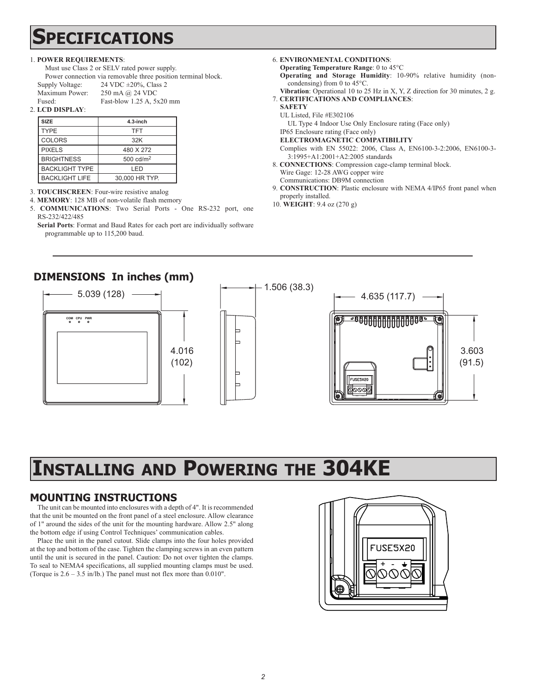# **Specifications**

#### 1. **POWER REQUIREMENTS**:

Must use Class 2 or SELV rated power supply. Power connection via removable three position terminal block. Supply Voltage: 24 VDC ±20%, Class 2 Maximum Power: 250 mA @ 24 VDC Fused: Fast-blow 1.25 A, 5x20 mm

2. **LCD DISPLAY**:

| <b>SIZE</b>           | $4.3$ -inch          |
|-----------------------|----------------------|
| <b>TYPE</b>           | <b>TFT</b>           |
| <b>COLORS</b>         | 32K                  |
| <b>PIXELS</b>         | 480 X 272            |
| <b>BRIGHTNESS</b>     | $500 \text{ cd/m}^2$ |
| <b>BACKLIGHT TYPE</b> | I FD                 |
| <b>BACKLIGHT LIFE</b> | 30,000 HR TYP.       |

3. **TOUCHSCREEN**: Four-wire resistive analog

4. **MEMORY**: 128 MB of non-volatile flash memory

5. **COMMUNICATIONS**: Two Serial Ports - One RS-232 port, one RS-232/422/485

**Serial Ports**: Format and Baud Rates for each port are individually software programmable up to 115,200 baud.

#### 6. **ENVIRONMENTAL CONDITIONS**:

- **Operating Temperature Range**: 0 to 45°C **Operating and Storage Humidity**: 10-90% relative humidity (noncondensing) from 0 to 45°C.
- **Vibration**: Operational 10 to 25 Hz in X, Y, Z direction for 30 minutes, 2 g. 7. **CERTIFICATIONS AND COMPLIANCES**:
- **SAFETY**
- UL Listed, File #E302106

UL Type 4 Indoor Use Only Enclosure rating (Face only)

- IP65 Enclosure rating (Face only) **ELECTROMAGNETIC COMPATIBILITY**
- Complies with EN 55022: 2006, Class A, EN6100-3-2:2006, EN6100-3-
- 3:1995+A1:2001+A2:2005 standards 8. **CONNECTIONS**: Compression cage-clamp terminal block. Wire Gage: 12-28 AWG copper wire
- Communications: DB9M connection
- 9. **CONSTRUCTION**: Plastic enclosure with NEMA 4/IP65 front panel when properly installed.
- 10. **WEIGHT**: 9.4 oz (270 g)

## **DIMENSIONS In inches (mm)**



# **Installing and Powering the 304KE**

# **MOUNTING INSTRUCTIONS**

The unit can be mounted into enclosures with a depth of 4". It is recommended that the unit be mounted on the front panel of a steel enclosure. Allow clearance of 1" around the sides of the unit for the mounting hardware. Allow 2.5" along the bottom edge if using Control Techniques' communication cables.

Place the unit in the panel cutout. Slide clamps into the four holes provided at the top and bottom of the case. Tighten the clamping screws in an even pattern until the unit is secured in the panel. Caution: Do not over tighten the clamps. To seal to NEMA4 specifications, all supplied mounting clamps must be used. (Torque is 2.6 – 3.5 in/lb.) The panel must not flex more than 0.010".

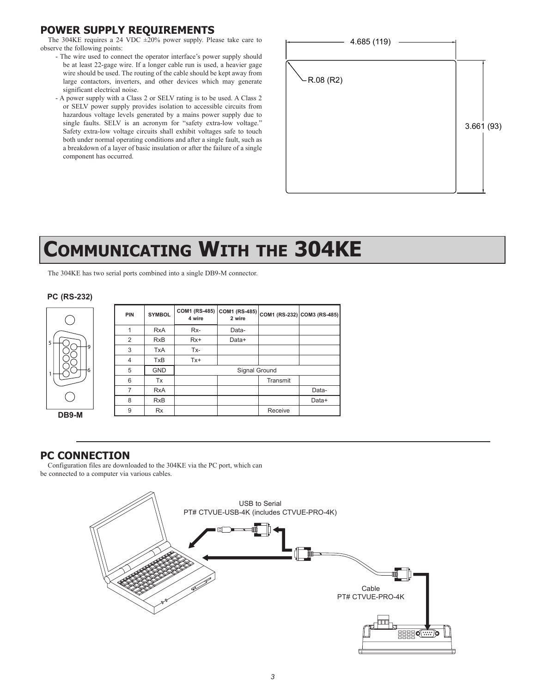# **POWER SUPPLY REQUIREMENTS**

The 304KE requires a 24 VDC  $\pm 20\%$  power supply. Please take care to observe the following points:

- The wire used to connect the operator interface's power supply should be at least 22-gage wire. If a longer cable run is used, a heavier gage wire should be used. The routing of the cable should be kept away from large contactors, inverters, and other devices which may generate significant electrical noise.
- A power supply with a Class 2 or SELV rating is to be used. A Class 2 or SELV power supply provides isolation to accessible circuits from hazardous voltage levels generated by a mains power supply due to single faults. SELV is an acronym for "safety extra-low voltage." Safety extra-low voltage circuits shall exhibit voltages safe to touch both under normal operating conditions and after a single fault, such as a breakdown of a layer of basic insulation or after the failure of a single component has occurred.



# **Communicating With the 304KE**

The 304KE has two serial ports combined into a single DB9-M connector.

#### **PC (RS-232)**



| ۰9    | <b>PIN</b>     | <b>SYMBOL</b> | COM1 (RS-485)<br>4 wire |       |          | COM1 (RS-485) COM1 (RS-232) COM3 (RS-485) |
|-------|----------------|---------------|-------------------------|-------|----------|-------------------------------------------|
|       |                | <b>RxA</b>    | Rx-                     | Data- |          |                                           |
|       | $\overline{2}$ | <b>RxB</b>    | $Rx+$                   | Data+ |          |                                           |
|       | 3              | <b>TxA</b>    | Tx-                     |       |          |                                           |
|       | $\overline{4}$ | <b>TxB</b>    | $Tx+$                   |       |          |                                           |
| 6     | 5              | <b>GND</b>    | Signal Ground           |       |          |                                           |
|       | 6              | Tx            |                         |       | Transmit |                                           |
|       | $\overline{7}$ | <b>RxA</b>    |                         |       |          | Data-                                     |
|       | 8              | <b>RxB</b>    |                         |       |          | Data+                                     |
| DB9-M | 9              | <b>Rx</b>     |                         |       | Receive  |                                           |
|       |                |               |                         |       |          |                                           |

#### **PC CONNECTION**

Configuration files are downloaded to the 304KE via the PC port, which can be connected to a computer via various cables.